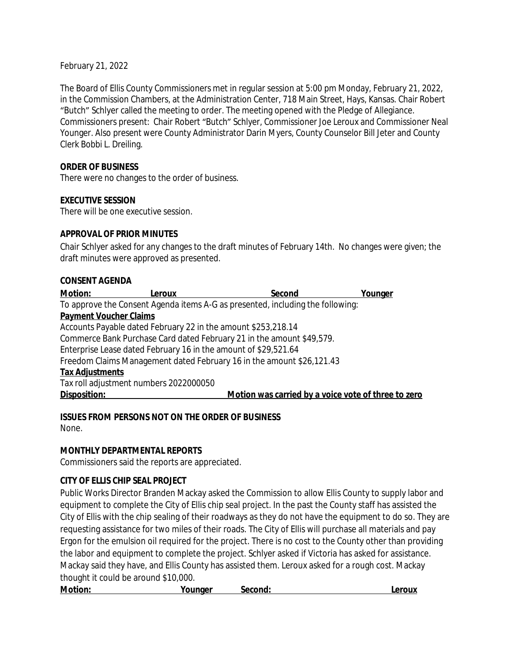February 21, 2022

The Board of Ellis County Commissioners met in regular session at 5:00 pm Monday, February 21, 2022, in the Commission Chambers, at the Administration Center, 718 Main Street, Hays, Kansas. Chair Robert "Butch" Schlyer called the meeting to order. The meeting opened with the Pledge of Allegiance. Commissioners present: Chair Robert "Butch" Schlyer, Commissioner Joe Leroux and Commissioner Neal Younger. Also present were County Administrator Darin Myers, County Counselor Bill Jeter and County Clerk Bobbi L. Dreiling.

#### **ORDER OF BUSINESS**

There were no changes to the order of business.

#### **EXECUTIVE SESSION**

There will be one executive session.

#### **APPROVAL OF PRIOR MINUTES**

Chair Schlyer asked for any changes to the draft minutes of February 14th. No changes were given; the draft minutes were approved as presented.

#### **CONSENT AGENDA**

| <b>Motion:</b>                | Leroux                                                                         | Second                                              | Younger |
|-------------------------------|--------------------------------------------------------------------------------|-----------------------------------------------------|---------|
|                               | To approve the Consent Agenda items A-G as presented, including the following: |                                                     |         |
| <b>Payment Voucher Claims</b> |                                                                                |                                                     |         |
|                               | Accounts Payable dated February 22 in the amount \$253,218.14                  |                                                     |         |
|                               | Commerce Bank Purchase Card dated February 21 in the amount \$49,579.          |                                                     |         |
|                               | Enterprise Lease dated February 16 in the amount of \$29,521.64                |                                                     |         |
|                               | Freedom Claims Management dated February 16 in the amount \$26,121.43          |                                                     |         |
| <b>Tax Adjustments</b>        |                                                                                |                                                     |         |
|                               | Tax roll adjustment numbers 2022000050                                         |                                                     |         |
| Disposition:                  |                                                                                | Motion was carried by a voice vote of three to zero |         |
|                               |                                                                                |                                                     |         |

**ISSUES FROM PERSONS NOT ON THE ORDER OF BUSINESS**

None.

#### **MONTHLY DEPARTMENTAL REPORTS**

Commissioners said the reports are appreciated.

#### **CITY OF ELLIS CHIP SEAL PROJECT**

Public Works Director Branden Mackay asked the Commission to allow Ellis County to supply labor and equipment to complete the City of Ellis chip seal project. In the past the County staff has assisted the City of Ellis with the chip sealing of their roadways as they do not have the equipment to do so. They are requesting assistance for two miles of their roads. The City of Ellis will purchase all materials and pay Ergon for the emulsion oil required for the project. There is no cost to the County other than providing the labor and equipment to complete the project. Schlyer asked if Victoria has asked for assistance. Mackay said they have, and Ellis County has assisted them. Leroux asked for a rough cost. Mackay thought it could be around \$10,000.

| <b>Motion:</b> | Younger | Second: | .eroux |
|----------------|---------|---------|--------|
|                |         |         |        |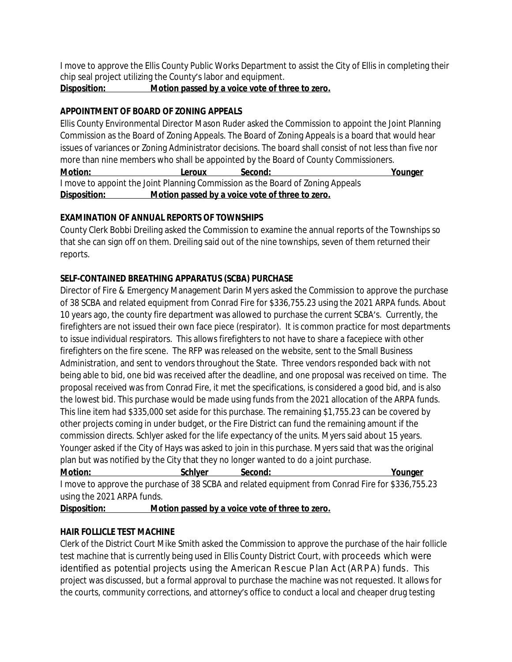I move to approve the Ellis County Public Works Department to assist the City of Ellis in completing their chip seal project utilizing the County's labor and equipment.

**Disposition: Motion passed by a voice vote of three to zero.**

## **APPOINTMENT OF BOARD OF ZONING APPEALS**

Ellis County Environmental Director Mason Ruder asked the Commission to appoint the Joint Planning Commission as the Board of Zoning Appeals. The Board of Zoning Appeals is a board that would hear issues of variances or Zoning Administrator decisions. The board shall consist of not less than five nor more than nine members who shall be appointed by the Board of County Commissioners.

**Motion: Leroux Second: Younger** I move to appoint the Joint Planning Commission as the Board of Zoning Appeals **Disposition: Motion passed by a voice vote of three to zero.**

## **EXAMINATION OF ANNUAL REPORTS OF TOWNSHIPS**

County Clerk Bobbi Dreiling asked the Commission to examine the annual reports of the Townships so that she can sign off on them. Dreiling said out of the nine townships, seven of them returned their reports.

## **SELF-CONTAINED BREATHING APPARATUS (SCBA) PURCHASE**

Director of Fire & Emergency Management Darin Myers asked the Commission to approve the purchase of 38 SCBA and related equipment from Conrad Fire for \$336,755.23 using the 2021 ARPA funds. About 10 years ago, the county fire department was allowed to purchase the current SCBA's. Currently, the firefighters are not issued their own face piece (respirator). It is common practice for most departments to issue individual respirators. This allows firefighters to not have to share a facepiece with other firefighters on the fire scene. The RFP was released on the website, sent to the Small Business Administration, and sent to vendors throughout the State. Three vendors responded back with not being able to bid, one bid was received after the deadline, and one proposal was received on time. The proposal received was from Conrad Fire, it met the specifications, is considered a good bid, and is also the lowest bid. This purchase would be made using funds from the 2021 allocation of the ARPA funds. This line item had \$335,000 set aside for this purchase. The remaining \$1,755.23 can be covered by other projects coming in under budget, or the Fire District can fund the remaining amount if the commission directs. Schlyer asked for the life expectancy of the units. Myers said about 15 years. Younger asked if the City of Hays was asked to join in this purchase. Myers said that was the original plan but was notified by the City that they no longer wanted to do a joint purchase.

**Motion: Schlyer Second: Younger** I move to approve the purchase of 38 SCBA and related equipment from Conrad Fire for \$336,755.23 using the 2021 ARPA funds.

**Disposition: Motion passed by a voice vote of three to zero.**

## **HAIR FOLLICLE TEST MACHINE**

Clerk of the District Court Mike Smith asked the Commission to approve the purchase of the hair follicle test machine that is currently being used in Ellis County District Court, with proceeds which were identified as potential projects using the American Rescue Plan Act (ARPA) funds. This project was discussed, but a formal approval to purchase the machine was not requested. It allows for the courts, community corrections, and attorney's office to conduct a local and cheaper drug testing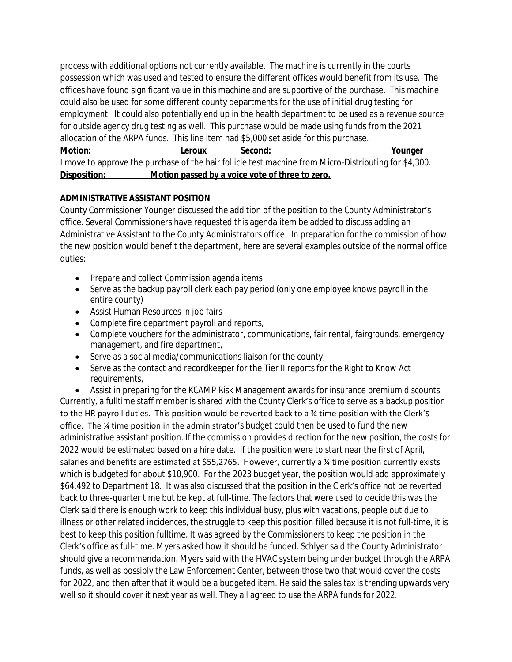process with additional options not currently available. The machine is currently in the courts possession which was used and tested to ensure the different offices would benefit from its use. The offices have found significant value in this machine and are supportive of the purchase. This machine could also be used for some different county departments for the use of initial drug testing for employment. It could also potentially end up in the health department to be used as a revenue source for outside agency drug testing as well. This purchase would be made using funds from the 2021 allocation of the ARPA funds. This line item had \$5,000 set aside for this purchase.

**Motion: Leroux Second: Younger** I move to approve the purchase of the hair follicle test machine from Micro-Distributing for \$4,300. **Disposition: Motion passed by a voice vote of three to zero.**

## **ADMINISTRATIVE ASSISTANT POSITION**

County Commissioner Younger discussed the addition of the position to the County Administrator's office. Several Commissioners have requested this agenda item be added to discuss adding an Administrative Assistant to the County Administrators office. In preparation for the commission of how the new position would benefit the department, here are several examples outside of the normal office duties:

- Prepare and collect Commission agenda items
- Serve as the backup payroll clerk each pay period (only one employee knows payroll in the entire county)
- Assist Human Resources in job fairs
- Complete fire department payroll and reports,
- Complete vouchers for the administrator, communications, fair rental, fairgrounds, emergency management, and fire department,
- Serve as a social media/communications liaison for the county,
- Serve as the contact and recordkeeper for the Tier II reports for the Right to Know Act requirements,

 Assist in preparing for the KCAMP Risk Management awards for insurance premium discounts Currently, a fulltime staff member is shared with the County Clerk's office to serve as a backup position to the HR payroll duties. This position would be reverted back to a ¾ time position with the Clerk's office. The ¼ time position in the administrator's budget could then be used to fund the new administrative assistant position. If the commission provides direction for the new position, the costs for 2022 would be estimated based on a hire date. If the position were to start near the first of April, salaries and benefits are estimated at \$55,2765. However, currently a ¼ time position currently exists which is budgeted for about \$10,900. For the 2023 budget year, the position would add approximately \$64,492 to Department 18. It was also discussed that the position in the Clerk's office not be reverted back to three-quarter time but be kept at full-time. The factors that were used to decide this was the Clerk said there is enough work to keep this individual busy, plus with vacations, people out due to illness or other related incidences, the struggle to keep this position filled because it is not full-time, it is best to keep this position fulltime. It was agreed by the Commissioners to keep the position in the Clerk's office as full-time. Myers asked how it should be funded. Schlyer said the County Administrator should give a recommendation. Myers said with the HVAC system being under budget through the ARPA funds, as well as possibly the Law Enforcement Center, between those two that would cover the costs for 2022, and then after that it would be a budgeted item. He said the sales tax is trending upwards very well so it should cover it next year as well. They all agreed to use the ARPA funds for 2022.